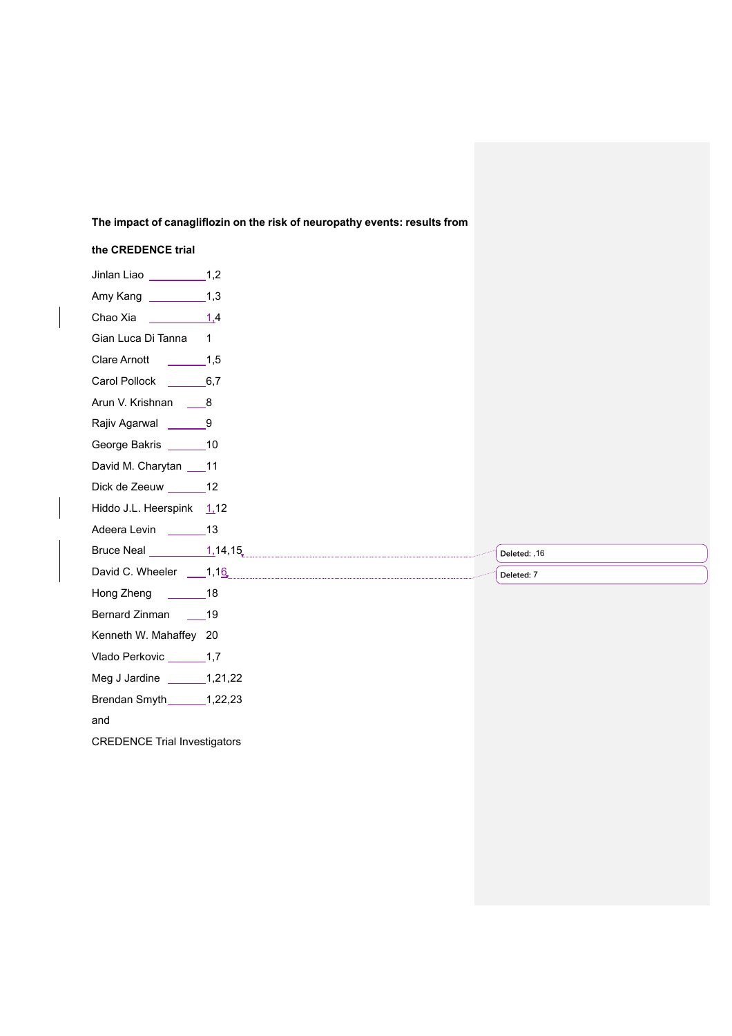## **The impact of canagliflozin on the risk of neuropathy events: results from**

## **the CREDENCE trial** Jinlan Liao 1,2 Amy Kang 1,3 Chao Xia 1,4 Gian Luca Di Tanna 1 Clare Arnott 1.5 Carol Pollock 6,7 Arun V. Krishnan \_\_\_\_8 Rajiv Agarwal \_\_\_\_\_ 9 George Bakris \_\_\_\_\_\_\_ 10 David M. Charytan 11 Dick de Zeeuw \_ 12 Hiddo J.L. Heerspink  $1,12$ Adeera Levin 13 Bruce Neal  $\frac{1}{1,14,15}$ David C. Wheeler 1,16 Hong Zheng 18 Bernard Zinman 19 Kenneth W. Mahaffey 20 Vlado Perkovic \_\_\_\_\_\_\_\_ 1,7 Meg J Jardine \_\_\_\_\_\_\_\_\_1,21,22 Brendan Smyth 1,22,23 and **Deleted:** ,16 **Deleted:** 7

CREDENCE Trial Investigators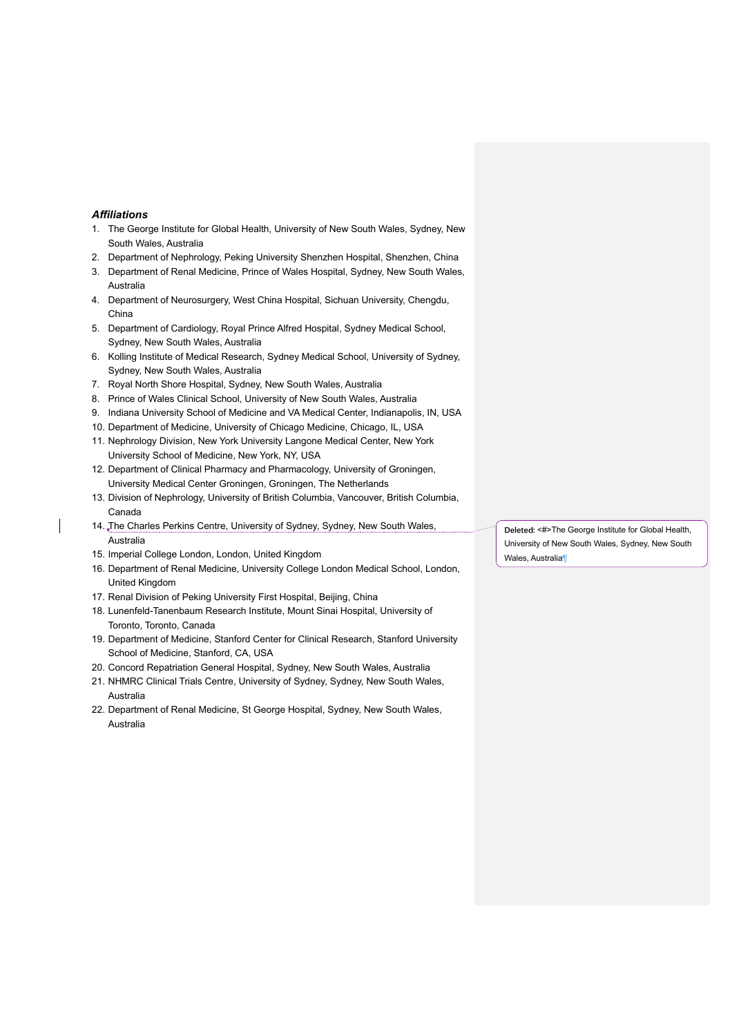#### *Affiliations*

- 1. The George Institute for Global Health, University of New South Wales, Sydney, New South Wales, Australia
- 2. Department of Nephrology, Peking University Shenzhen Hospital, Shenzhen, China
- 3. Department of Renal Medicine, Prince of Wales Hospital, Sydney, New South Wales, Australia
- 4. Department of Neurosurgery, West China Hospital, Sichuan University, Chengdu, China
- 5. Department of Cardiology, Royal Prince Alfred Hospital, Sydney Medical School, Sydney, New South Wales, Australia
- 6. Kolling Institute of Medical Research, Sydney Medical School, University of Sydney, Sydney, New South Wales, Australia
- 7. Royal North Shore Hospital, Sydney, New South Wales, Australia
- 8. Prince of Wales Clinical School, University of New South Wales, Australia
- 9. Indiana University School of Medicine and VA Medical Center, Indianapolis, IN, USA
- 10. Department of Medicine, University of Chicago Medicine, Chicago, IL, USA
- 11. Nephrology Division, New York University Langone Medical Center, New York University School of Medicine, New York, NY, USA
- 12. Department of Clinical Pharmacy and Pharmacology, University of Groningen, University Medical Center Groningen, Groningen, The Netherlands
- 13. Division of Nephrology, University of British Columbia, Vancouver, British Columbia, Canada
- 14. The Charles Perkins Centre, University of Sydney, Sydney, New South Wales, Australia
- 15. Imperial College London, London, United Kingdom
- 16. Department of Renal Medicine, University College London Medical School, London, United Kingdom
- 17. Renal Division of Peking University First Hospital, Beijing, China
- 18. Lunenfeld-Tanenbaum Research Institute, Mount Sinai Hospital, University of Toronto, Toronto, Canada
- 19. Department of Medicine, Stanford Center for Clinical Research, Stanford University School of Medicine, Stanford, CA, USA
- 20. Concord Repatriation General Hospital, Sydney, New South Wales, Australia
- 21. NHMRC Clinical Trials Centre, University of Sydney, Sydney, New South Wales, Australia
- 22. Department of Renal Medicine, St George Hospital, Sydney, New South Wales, Australia

**Deleted:** <#>The George Institute for Global Health, University of New South Wales, Sydney, New South Wales, Australia¶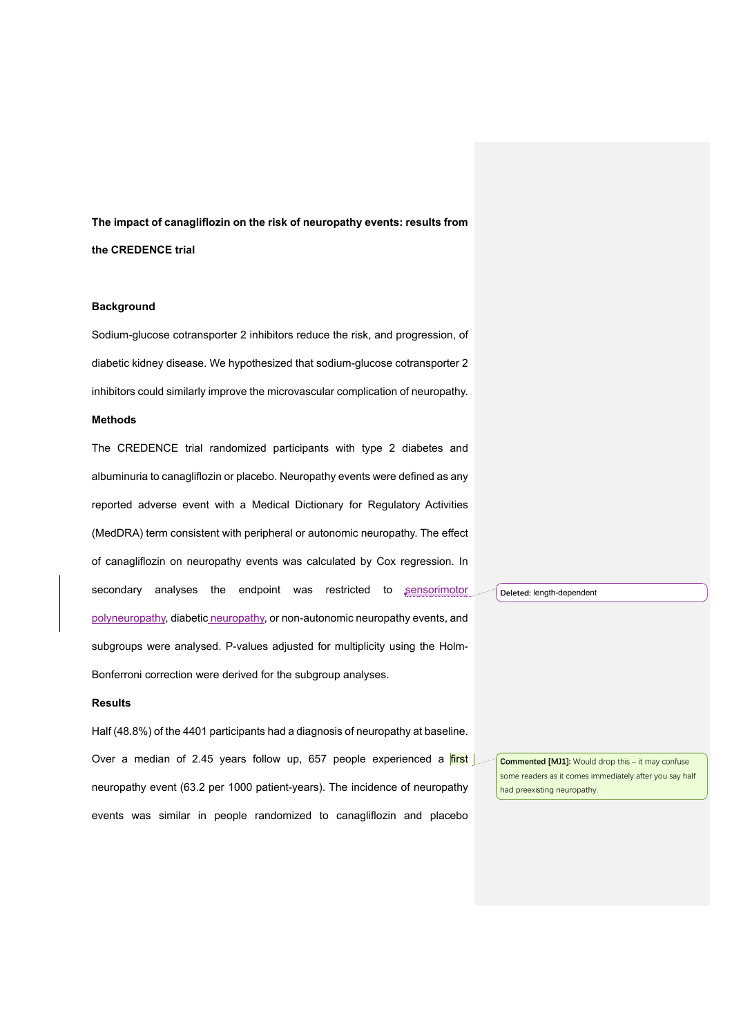# **The impact of canagliflozin on the risk of neuropathy events: results from the CREDENCE trial**

### **Background**

Sodium-glucose cotransporter 2 inhibitors reduce the risk, and progression, of diabetic kidney disease. We hypothesized that sodium-glucose cotransporter 2 inhibitors could similarly improve the microvascular complication of neuropathy.

### **Methods**

The CREDENCE trial randomized participants with type 2 diabetes and albuminuria to canagliflozin or placebo. Neuropathy events were defined as any reported adverse event with a Medical Dictionary for Regulatory Activities (MedDRA) term consistent with peripheral or autonomic neuropathy. The effect of canagliflozin on neuropathy events was calculated by Cox regression. In secondary analyses the endpoint was restricted to sensorimotor polyneuropathy, diabetic neuropathy, or non-autonomic neuropathy events, and subgroups were analysed. P-values adjusted for multiplicity using the Holm-Bonferroni correction were derived for the subgroup analyses.

### **Results**

Half (48.8%) of the 4401 participants had a diagnosis of neuropathy at baseline. Over a median of 2.45 years follow up, 657 people experienced a  $first$ neuropathy event (63.2 per 1000 patient-years). The incidence of neuropathy events was similar in people randomized to canagliflozin and placebo

**Deleted:** length-dependent

**Commented [MJ1]:** Would drop this – it may confuse some readers as it comes immediately after you say half had preexisting neuropathy.